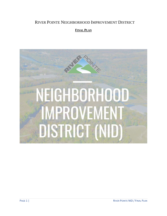# RIVER POINTE NEIGHBORHOOD IMPROVEMENT DISTRICT

# **FINAL PLAN**

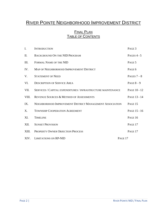# RIVER POINTE NEIGHBORHOOD IMPROVEMENT DISTRICT

# **FINAL PLAN** TABLE OF CONTENTS

| $\mathbf{I}$ . | <b>INTRODUCTION</b>                                          |         | PAGE 3        |
|----------------|--------------------------------------------------------------|---------|---------------|
| П.             | <b>BACKGROUND ON THE NID PROGRAM</b>                         |         | PAGES $4 - 5$ |
| III.           | FORMAL NAME OF THE NID                                       |         | PAGE 5        |
| IV.            | MAP OF NEIGHBORHOOD IMPROVEMENT DISTRICT                     |         | PAGE 6        |
| V.             | <b>STATEMENT OF NEED</b>                                     |         | PAGES $7-8$   |
| VI.            | <b>DESCRIPTION OF SERVICE AREA</b>                           |         | PAGE $8-9$    |
| VII.           | SERVICES / CAPITAL EXPENDITURES / INFRASTRUCTURE MAINTENANCE |         | PAGE 10 - 12  |
| VIII.          | REVENUE SOURCES & METHOD OF ASSESSMENTS                      |         | PAGE 13 - 14  |
| IX.            | NEIGHBORHOOD IMPROVEMENT DISTRICT MANAGEMENT ASSOCIATION     |         | PAGE 15       |
| X.             | <b>TOWNSHIP COOPERATION AGREEMENT</b>                        |         | PAGE 15 - 16  |
| XI.            | <b>TIMELINE</b>                                              |         | PAGE 16       |
| XII.           | <b>SUNSET PROVISION</b>                                      |         | PAGE 17       |
| XIII.          | <b>PROPERTY OWNER OBJECTION PROCESS</b>                      |         | PAGE 17       |
|                | XIV. LIMITATIONS ON RP-NID                                   | PAGE 17 |               |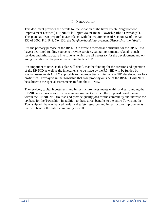#### I – INTRODUCTION

This document provides the details for the creation of the River Pointe Neighborhood Improvement District ("**RP-NID**") in Upper Mount Bethel Township (the "**Township**"). This plan has been prepared in accordance with the requirements of Section 5.c of the Act 130 of 2000, P.L. 949, No. 130, the *Neighborhood Improvement District Act* (the "**Act**")*.* 

It is the primary purpose of the RP-NID to create a method and structure for the RP-NID to have a dedicated funding source to provide services, capital investments related to such services and infrastructure investments, which are all necessary for the development and ongoing operation of the properties within the RP-NID.

It is important to note, as this plan will detail, that the funding for the creation and operation of the RP-NID as well as the investments to be made by the RP-NID will be funded by special assessments ONLY applicable to the properties within the RP-NID developed for forprofit uses. Taxpayers in the Township that own property outside of the RP-NID will NOT be subject to the special assessments to fund the RP-NID.

The services, capital investments and infrastructure investments within and surrounding the RP-NID are all necessary to create an environment in which the proposed development within the RP-NID will flourish and provide quality jobs for the community and increase the tax base for the Township. In addition to these direct benefits to the entire Township, the Township will have enhanced health and safety resources and infrastructure improvements that will benefit the entire community as well.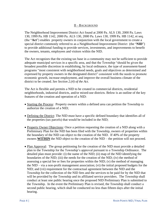## II – BACKGROUND

The Neighborhood Improvement District Act found at 2000 Pa. ALS 130, 2000 Pa. Laws 130, 1999 Pa. HB 1142, 2000 Pa. ALS 130, 2000 Pa. Laws 130, 1999 Pa. HB 1142, et seq. (the "**Act**") enables property owners in conjunction with the local government to create a special district commonly referred to as a Neighborhood Improvement District (the "**NID**") to provide additional funding to provide services, investments, and improvements to benefit the owners, tenants, employees and visitors within the NID.

The Act recognizes that the existing tax base in a community may not be sufficient to provide adequate municipal services in a specific area, and that the Township "should be given the broadest possible discretion in establishing, by local ordinance, the type of assessment-based programs "most consistent with neighborhood needs, goals and objectives as determined and expressed by property owners in the designated district" consistent with the needs to promote economic growth, increase employment, and improve the overall business climate of the district to be created. *See Section 2.(4) of the Act.*

The Act is flexible and permits a NID to be created in commercial districts, residential neighborhoods, industrial districts, and/or mixed-use districts. Below is an outline of the key features of the creation and operation of a NID:

- Starting the Process: Property owners within a defined area can petition the Township to authorize the creation of a NID;
- Defining the District: The NID must have a specific defined boundary that identifies all of the properties (tax parcels) that would be included in the NID;
- Property Owner Objections: Once a petition requesting the creation of a NID along with a Preliminary Plan for the NID has been filed with the Township, owners of properties within the boundary of the NID can object to the creation of the NID. If 40% of the property owners **WITHIN** the NID object to the creation of the NID – the petition will not proceed.
- Plan Approval: The group petitioning for the creation of the NID must provide a detailed plan to the Township for the Township's approval pursuant to a Township Ordinance. The detailed plan must provide: (i) the name of the NID; (ii) map of the NID identifying the boundaries of the NID; (iii) the needs for the creation of the NID; (iv) the method of assessing a special fee or fees for properties within the NID; (v) the method of managing the NID – via a non-profit management association; (vi) the initial proposed budgets for the NID; and (vii) requirement for the contractual agreement between the NID and the Township for the collection of the NID fees and the services to be paid for by the NID that will be provided by the Township and its affiliated service providers. The Township shall conduct at least one public hearing once the proposed NID Preliminary Plan is submitted to the Township. In the event the Preliminary Plan is revised, the Township shall conduct a second public hearing, which shall be conducted no less than fifteen days after the initial hearing.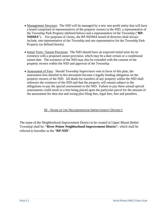- Management Structure: The NID will be managed by a new non-profit entity that will have a board comprised of representatives of the property owners in the NID, a representative of the Township Park Property (defined below) and a representative of the Township ("**RP-NIDMA**"). For purposes of clarity, the RP-NIDMA board of directors shall always include, one representative of the Township and one representative for the Township Park Property (as defined herein).
- Initial Term / Sunset Provision: The NID should have an expected initial term for its existence with a proposed sunset provision, which may be a date certain or a conditional sunset date. The existence of the NID may also be extended with the consent of the property owners within the NID and approval of the Township.
- Assessment of Fees: Should Township Supervisors vote in favor of this plan, the assessment fees detailed in this document become a legally binding obligation on the property owners of the NID. All deeds for transfers of any property within the NID shall reference the existence of the NID and that the property will remain subject to the obligations to pay the special assessments to the NID. Failure to pay these annual special assessments could result in a lien being placed upon the particular parcel for the amount of the assessment fee then due and owing plus filing fees, legal fees, fine and penalties.

## III – NAME OF THE NEIGHBORHOOD IMPROVEMENT DISTRICT

The name of the Neighborhood Improvement District to be created in Upper Mount Bethel Township shall be: "**River Pointe Neighborhood Improvement District**", which shall be referred to hereafter as the "**RP-NID**".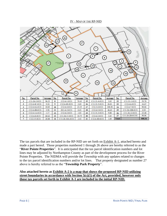#### IV – MAP OF THE RP-NID



The tax parcels that are included in the RP-NID are set forth on Exhibit A-1, attached hereto and made a part hereof. Those properties numbered 1 through 26 above are hereby referred to as the "**River Pointe Properties**". It is anticipated that the tax parcel identification numbers and lot lines may be adjusted by Northampton County as part of the development process for the River Pointe Properties. The NIDMA will provide the Township with any updates related to changes to the tax parcel identification numbers and/or lot lines. That property designated as number 27 above is hereby referred to as the "**Township Park Property**".

#### **Also attached hereto as Exhibit A-2 is a map that shows the proposed RP-NID utilizing street boundaries in accordance with Section 5(c)(1) of the Act, provided, however only those tax parcels set forth in Exhibit A-1 are included in the initial RP-NID.**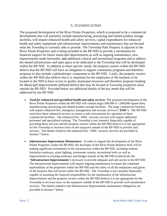#### V - STATEMENT OF NEED

The proposed development of the River Pointe Properties, which is proposed to be a commercial development that will primarily include manufacturing, processing and related product storage facilities, will require enhanced health and safety services, capital expenditures for enhanced health and safety equipment and infrastructure improvements and maintenance that are beyond what the Township is currently able to provide. The Township Park Property is adjacent to the River Pointe Properties and is being included in the RP-NID to provide a mechanism for financial support for future municipal improvements as well as ongoing maintenance, new improvements made hereunder, and additional cultural and recreational programs and to address the shared infrastructure and open space to be dedicated to the Township that will be developed within the RP-NID. In addition to these specific needs, the property owners within the RP-NID believe that the RP-NID will have an obligation to support community programs and therefore proposes to also include a philanthropic component to the RP-NID. Lastly, the property owners within the RP-NID also believe that it is important for the employees of the business to be located in the NID to have access to quality municipal resources and therefore proposes funding for Municipal Improvements (defined below) that may be located at Township properties areas outside the RP-NID. Provided below are additional details of the key needs that will be addressed by the RP-NID:

- *Need for enhanced and specialized health and safety services:* The proposed development of the River Pointe Properties within the RP-NID will contain large (300,000 to 1,000,000 square feet) manufacturing, processing and related product storage facilities. The large commercial facilities will require enhanced fire, emergency management and security services ("**EMS**"). The RP-NID must have these enhanced services to ensure a safe environment for operation of these commercial facilities. The enhanced fire / EMS / security services will require additional personnel and specialized training. The Township is not currently financially capable of providing these services and the property owners within the RP-NID believe it is not appropriate for the Township to increase taxes on the taxpayers outside of the RP-NID to provide such services. The details related to the enhanced fire / EMS / security services are provided in Section 7 below.
- *Infrastructure Improvement Maintenance*: In order to support the development of the River Pointe Properties within the RP-NID, the developer of the River Pointe Business Park will be making significant investments in the infrastructure within the RP-NID, including without limitation roadways, street lighting, stormwater system, recreational trails as well as improvements to existing roadways and bridges outside of the RP-NID (collectively the "**Infrastructure Improvements**") necessary to provide adequate and safe access to the RP-NID. The Infrastructure Improvements will require ongoing maintenance to ensure the continued marketability of the properties within the RP-NID and the safety of all the employees and guests of the business that will locate within the RP-NID. The Township is not currently financially capable of assuming the financial responsibility for the maintenance of the Infrastructure Improvements and the property owners within the RP-NID believe it is not appropriate for the Township to increase taxes on the taxpayers outside of the RP-NID to provide such maintenance services. The details related to the Infrastructure Improvements maintenance obligations are provided in Section 7 below.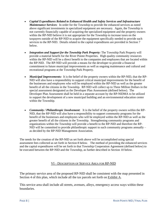- *Capital Expenditures Related to Enhanced Health and Safety Services and Infrastructure Maintenance Services*: In order for the Township to provide the enhanced services as noted above significant investments in specialized equipment are necessary. Again, the Township is not currently financially capable of acquiring the specialized equipment and the property owners within the RP-NID believe it is not appropriate for the Township to increase taxes on the taxpayers outside of the RP-NID to acquire the equipment specifically needed to provide such services to the RP-NID. Details related to the capital expenditures are provided in Section 7 below.
- *Integration and Support for the Township Park Property:* The Township Park Property will provide a material benefit for the River Pointe Properties. High quality community resources within the RP-NID will be a direct benefit to the companies and employees that are located within the RP-NID. The RP-NID will provide a means for the developer to provide a financial commitment to future municipal improvements as well as ongoing maintenance and cultural and recreational programs at the Township Park Property.
- *Municipal Improvements:* It is the belief of the property owners within the RP-NID, that the RP-NID will also have a responsibility to support critical municipal improvements for the benefit of the businesses and employees who will be employed within the RP-NID as well as the greater benefit of all the citizens in the Township. RP-NID will collect up to Three Million Dollars in the special assessment designated as the Developer Plan Assessment (defined below). The Developer Plan Assessment shall be held in a separate account by the RP-NIDMA to be utilized to support the development of a new municipal building and an environmental education center within the Township.
- *Community / Philanthropic Involvement*: It is the belief of the property owners within the RP-NID, that the RP-NID will also have a responsibility to support community programs for the benefit of the businesses and employees who will be employed within the RP-NID as well as the greater benefit of all the citizens in the Township. Strengthening community programs and organizations within the Township will provide a benefit to the RP-NID and therefore the RP-NID will be committed to provide philanthropic support to such community programs annually – as decided by the RP-NID Management Association.

The needs for the creation of the RP-NID as set forth above will be accomplished using special assessment fees collected as set forth in Section 8 below. The method of providing the enhanced services and the capital expenditures will be set forth in that Township Cooperation Agreement (defined below) to be executed between the RP-NID and the Township, as further described in Section 10 below.

#### VI – DESCRIPTION OF SERVICE AREA FOR RP-NID

The primary service area of the proposed RP-NID shall be consistent with the map presented in Section 4 of this plan, which include all the tax parcels set forth on Exhibit A.

This service area shall include all streets, avenues, alleys, emergency access ways within these boundaries.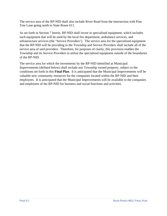The service area of the RP-NID shall also include River Road from the intersection with Pine Tree Lane going north to State Route 611.

As set forth in Section 7 herein, RP-NID shall invest in specialized equipment, which includes such equipment that will be used by the local fire department, ambulance services, and infrastructure services (the "Service Providers"). The service area for the specialized equipment that the RP-NID will be providing to the Township and Service Providers shall include all of the service area of said providers. Therefore, for purposes of clarity, this provision enables the Township and its Service Providers to utilize the specialized equipment outside of the boundaries of the RP-NID.

The service area for which the investments by the RP-NID identified as Municipal Improvements (defined below) shall include any Township owned property, subject to the conditions set forth in this **Final Plan**. It is anticipated that the Municipal Improvements will be valuable new community resources for the companies located within the RP-NID and their employees. It is anticipated that the Municipal Improvements will be available to the companies and employees of the RP-NID for business and social functions and activities.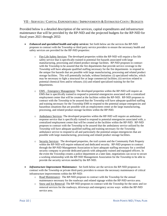#### VII – SERVICES / CAPITAL EXPENDITURES / IMPROVEMENTS & ESTIMATED COSTS / BUDGETS

Provided below is a detailed description of the services, capital expenditures and infrastructure maintenance that will be provided by the RP-NID and the projected budgets for the RP-NID for fiscal years 2021 through 2032:

- *Enhanced and specialized health and safety services:* Set forth below are the services the RP-NID proposes to contract with the Township or third party service providers to ensure the necessary health and safety services are provided for the RP-NID properties:
	- o Fire Life Safety Services: The developed properties within the RP-NID will require a fire life safety service that is specifically trained in potential fire hazards associated with large manufacturing, processing and related product storage facilities. RP-NID proposes to contract with the Township to be assured that the fire departments that provide service coverage to the Township will have adequate qualified staffing necessary for the fire departments to respond to the unique fire hazards that are possible with large manufacturing, processing and related product storage facilities. This will potentially include, without limitation: (i) specialized vehicles, which may be necessary to fight a structural fire at large commercial facilities; (ii) services related to potential chemical fires and/or releases; (iii) and related specialized training for the fire departments.
	- $\circ$  EMS Emergency Management: The developed properties within the RP-NID will require an EMS that is specifically trained to respond to potential emergencies associated with a centralized employment center that will be created at the facilities within the RP-NID. RP-NID proposes to contract with the Township to be assured that the Township will have adequate qualified staffing and training necessary for the Township EMS to respond to the potential unique emergencies and hazardous situations that are possible with an employment center at the large manufacturing, processing, and related product storage facilities within the RP-NID.
	- o Ambulance Services: The developed properties within the RP-NID will require an ambulance response service that is specifically trained to respond to potential emergencies associated with, a centralized employment center that will be created at the facilities within the RP-NID. RP-NID proposes to contract with the Township to be assured that the ambulatory service utilized by the Township will have adequate qualified staffing and training necessary for the Township ambulance service to respond to all and particularly the potential unique emergencies that are possible with large manufacturing, processing and related product storage facilities.
	- o Security Services: The developed properties, the trail system and the Community Park Property within the RP-NID will require enhanced and dedicated security. RP-NID proposes to contract through the RP-NID Management Association to have adequate staffing necessary for a certified security company to provide dedicated patrols with adequately trained and equipped officers. In the event the Township creates a police department at a later date, negotiations can occur to secure a working relationship with the RP-NID Management Association for the Township to be able to provide the security services needed by the RP-NID.
- *Infrastructure Improvement Maintenance*: Set forth below are the services the RP-NID proposes to contract with the Township or private third-party providers to ensure the necessary maintenance of critical infrastructure improvements within the RP-NID:
	- o Road Maintenance: The RP-NID proposes to contract with the Township for the annual maintenance necessary for the roadways and related signage within the RP-NID service area.
	- o Snow and Ice Removal: The RP-NID proposes to contract with the Township for the snow and ice removal services for the roadways, driveways and emergency access ways within the RP-NID service area.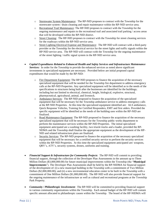- o Stormwater System Maintenance: The RP-NID proposes to contract with the Township for the stormwater system / drain cleaning and repair maintenance within the RP-NID service area.
- o Recreational Trail Maintenance: The RP-NID proposes to contract with the Township for the ongoing maintenance and repairs to the recreational trail and associated trail parking / access areas that will be developed within the RP-NID district.
- o Street Cleaning: The RP-NID proposes to contract with the Township for street cleaning services for the roadways within the RP-NID service area.
- o Street Lighting Electrical Expense and Maintenance: The RP-NID will contract with a third-party provider or the Township for the electrical service for the street lights and traffic signals within the RP-NID service area. The RP-NID will contract with the Township for the ongoing maintenance of the street lighting / traffic signal system in the RP-NID service area.
- *Capital Expenditures Related to Enhanced Health and Safety Services and Infrastructure Maintenance Services:* In order for the Township to provide the enhanced services as noted above significant investments in specialized equipment are necessary. Provided below are initial proposed capital expenditures that would be made by the RP-NID:
	- o Fire Department Equipment: The RP-NID proposes to finance the acquisition of the necessary specialized equipment that will be needed for the Township fire department to address emergency calls at the RP-NID Properties. Any specialized equipment will be identified as to the needs of the specifications to structures being built after the businesses are identified for the buildings; including but not limited to electrical, chemical, height, biological, explosive, structural, pharmaceutical, agricultural, animal, and livestock.
	- o Ambulance Services: The RP-NID proposed to finance the acquisition of the specialized equipment that will be necessary for the Township ambulance service to address emergency calls at the RP-NID Properties. At this time the specialized equipment identified are: ALS ambulance, Quick Response Vehicles, Training for Certified Responders, EMT and first aiders. Provided the specific equipment will be identified as the needs of the building uses within the RP-NID are finalized.
	- o Road Maintenance Equipment: The RP-NID proposed to finance the acquisition of the necessary specialized equipment that will be necessary for the Township public works department to perform the maintenance services within the RP-NID Properties. The initial specialized equipment anticipated are a washing facility, two triaxle trucks and a loader, provided the RP-NDMA and the Township shall finalize the appropriate equipment as the development of the RP-NID and related infrastructure plans are finalized.
	- o Security Services: The RP-NID proposed to finance the acquisition of the necessary specialized equipment that will be necessary for a certified security service to perform the security services within the RP-NID Properties. At this time the specialized equipment anticipated are: weapons, QRV's, ATV's, security systems, drones, uniforms and training.
- *Financial Support & Infrastructure for Community Projects*: The RP-NID will commit to providing financial support, through the collection of the Developer Plan Assessments in the amount up to Three Million Dollars (\$3,000,000.00) for future municipal improvements within the Township (the "**Municipal Improvements**"). The Developer Plan Assessments shall be held by the RP-NIDMA for financial support of the development of: (i) a new municipal building in the Township with a commitment of Two Million Dollars (\$2,000,000.00); and (ii) a new environmental education center to be built in the Township with a commitment of One Million Dollars (\$1,000,000.00). The RP-NID will also provide financial support for the ongoing maintenance of the infrastructure as well as cultural and recreational programs at the Township Park Property.
- *Community / Philanthropic Involvement*: The RP-NID will be committed to providing financial support to various community organizations within the Township. Each annual budget of the RP-NID will contain specific amount allocated to philanthropic causes within the Township. The board of the RP-NIDMA will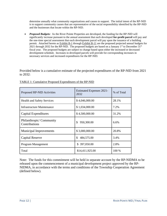determine annually what community organizations and causes to support. The initial intent of the RP-NID is to support community causes that are representative of the social responsibility identified by the RP-NID and the businesses that locate within the RP-NID.

• *Proposed Budgets:* As the River Pointe Properties are developed, the funding for the RP-NID will significantly increase pursuant to the annual assessment that each developed **for-profit parcel** will pay and the one-time special assessment that each development parcel will pay upon the issuance of a building permit. Attached hereto as Exhibit B-1 through Exhibit B-11 are the proposed projected annual budgets for 2021 through 2032 for the RP-NID. The proposed budgets are based on a January  $1^{st}$  to December  $31^{st}$ fiscal year. The proposed budgets are subject to change based upon either the increased or decreased development schedule. Increases in developed parcels will provide for corresponding increases in necessary services and increased expenditures for the RP-NID.

Provided below is a cumulative estimate of the projected expenditures of the RP-NID from 2021 to 2032:

| Proposed RP-NID Activities               | <b>Estimated Expenses 2021-</b><br>2032 | % of Total |  |  |
|------------------------------------------|-----------------------------------------|------------|--|--|
| <b>Health and Safety Services</b>        | \$4,046,000.00                          | 28.1%      |  |  |
| Infrastructure Maintenance               | \$1,034,000.00                          | 7.2%       |  |  |
| Capital Expenditures                     | \$4,500,000.00                          | 31.2%      |  |  |
| Philanthropic/Community<br>Contributions | 950,300.00<br>\$                        | 6.6%       |  |  |
| <b>Municipal Improvements</b>            | \$3,000,000.00                          | 20.8%      |  |  |
| Capital Reserve                          | \$<br>484,575.00                        | 3.4%       |  |  |
| Program Management                       | \$397,050.00                            | 2.8%       |  |  |
| Total                                    | \$14,411,925.00                         | 100 %      |  |  |

| TABLE 1: Cumulative Proposed Expenditures of the RP-NID |  |  |
|---------------------------------------------------------|--|--|
|                                                         |  |  |

Note: The funds for this commitment will be held in separate account by the RP-NIDMA to be released upon the commencement of a municipal development project approved by the RP-NIDMA, in accordance with the terms and conditions of the Township Cooperation Agreement (defined below).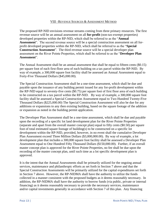#### VIII –REVENUE SOURCES & ASSESSMENT METHOD

The proposed RP-NID envisions revenue streams coming from three primary resources. The first revenue source will be an annual assessment on all **for-profit** (non-tax-exempt properties) developed properties within the RP-NID, which shall be referred to as the "**Annual Assessment**". The second revenue source will be a special construction assessment on all forprofit developed properties within the RP-NID, which shall be referred to as the "**Special Construction Assessment**". The third revenue source will be a special developer plan assessment on the River Pointe Properties, which shall be referred to as the "**Developer Plan Assessment**".

The Annual Assessment shall be an annual assessment that shall be equal to fifteen cents (\$0.15) per square foot of each first-floor area of each building on a tax parcel within the RP-NID. By way of example, a 300,000 square foot facility shall be assessed an Annual Assessment equal to Forty-Five Thousand Dollars (\$45,000.00).

The Special Construction Assessment shall be a one-time assessment, which shall be due and payable upon the issuance of any building permit issued for any for-profit development within the RP-NID equal to seventy-five cents (\$0.75) per square foot of first floor area of each building to be constructed on a tax parcel within the RP-NID. By way of example, a 300,000 square foot facility shall be assessed a Special Construction Assessment equal to Two Hundred Twenty-Five Thousand Dollars (\$225,000.00) The Special Construction Assessment will also be due for any additions or expansions to any then existing building, based on the square footage of the addition or expansion as noted in the building permit application.

The Developer Plan Assessment shall be a one-time assessment, which shall be due and payable upon the recording of a specific lot land development plan for the River Pointe Properties (separate and apart from the overall master concept plan) equal to fifty cents (\$0.50) per square foot of total estimated square footage of building(s) to be constructed on a specific lot development within the RP-NID, provided, however, in no event shall the cumulative Developer Plan Assessment exceed Three Million Dollars (\$3,000,000.00). By way of example, a lot development plan that includes a 300,000 square foot facility shall be assessed a Developer Plan Assessment equal to One Hundred Fifty Thousand Dollars (\$150,000.00). Further, if an overall master concept plan is approved for the River Pointe Properties, no fee shall be due upon the recording of the master concept plan, until such time as a lot specific development plan is approved.

It is the intent that the Annual Assessments shall be primarily utilized for the ongoing annual services, maintenance and philanthropic efforts as set forth in Section 7 above and that the Special Construction Assessments will be primarily utilized for the capital expenditures set forth in Section 7 above. However, the RP-NIDMA shall have the authority to utilize the funds collected in a manner consistent with the proposed budgets as it deems reasonably necessary. In addition, the RP-NIDMA shall have the authority to borrow funds (via public, private or internal financing) as it deems reasonably necessary to provide the necessary services, maintenance and/or capital investments generally in accordance with Section 7 of this plan. Any financing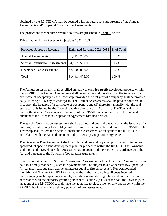obtained by the RP-NIDMA may be secured with the future revenue streams of the Annual Assessments and/or Special Construction Assessments.

The projections for the three revenue sources are presented in Table 1 below:

| Proposed Source of Revenue              | Estimated Revenue 2021-2032 | % of Total |  |  |
|-----------------------------------------|-----------------------------|------------|--|--|
| <b>Annual Assessments</b>               | \$6,911,925.00              | 48.0%      |  |  |
| <b>Special Construction Assessments</b> | \$4,502,550.00              | 31.2%      |  |  |
| Developer Plan Assessment               | \$3,000,000.00              | 20.8%      |  |  |
| Total                                   | \$14,414,475.00             | 100 %      |  |  |

Table 2: Cumulative Revenue Projections 2021 – 2032

The Annual Assessments shall be billed annually to each **for-profit** developed property within the RP-NID. The Annual Assessments shall become due and payable upon the issuance of a certificate of occupancy by the Township, provided the first year of occupancy shall be prorated daily utilizing a 365-day calendar year. The Annual Assessments shall be paid as follows: (i) first upon the issuance of a certificate of occupancy; and (ii) thereafter annually with the real estate tax bills issued by the Township with a due date of April 1. The Township shall collect the Annual Assessments as an agent of the RP-NID in accordance with the Act and pursuant to the Township Cooperation Agreement (defined below).

The Special Construction Assessment shall be billed and due and payable upon the issuance of a building permit for any for-profit (non-tax exempt) structure to be built within the RP-NID. The Township shall collect the Special Construction Assessment as an agent of the RP-NID in accordance with the Act and pursuant to the Township Cooperation Agreement.

The Developer Plan Assessment shall be billed and due and payable upon the recording of an approved lot specific land development plan for properties within the RP-NID. The Township shall collect the Developer Plan Assessment as an agent of the RP-NID in accordance with the Act and pursuant to the Township Cooperation Agreement.

If an Annual Assessment, Special Construction Assessment or Developer Plan Assessment is not paid in a timely manner: (i) such late payments shall be subject to a five percent (5%) penalty; (ii) balances past due shall accrue an interest equal to fifteen percent (15%) compounded monthly; and (iii) the RP-NIDMA shall have the authority to collect all costs incurred in collecting any such unpaid assessments, including reasonable legal fees and court costs. In accordance with the authority granted pursuant to Section  $7(a)(10)$  of the Act, the Township, as an agent of the RP-NIDMA, shall have the authority to place a lien on any tax parcel within the RP-NID that fails to make a timely payment of any assessment.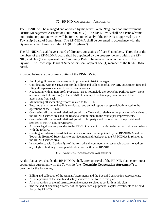#### IX – RP-NID MANAGEMENT ASSOCIATION

The RP-NID will be managed and operated by the River Pointe Neighborhood Improvement District Management Association ("**RP-NIDMA**"). The RP-NIDMA shall be a Pennsylvania non-profit corporation, which will be formed immediately if the RP-NID is approved by the Township Board of Supervisors. The RP-NIDMA shall be governed in accordance with the Bylaws attached hereto as Exhibit C (the "**Bylaws**").

The RP-NIDMA shall have a board of directors consisting of five (5) members. Three (3) of the members of the RP-NIDMA board shall be appointed by the property owners within the RP-NID, and One (1) to represent the Community Park to be selected in accordance with the Bylaws. The Township Board of Supervisors shall appoint one (1) member of the RP-NIDMA board.

Provided below are the primary duties of the RP-NIDMA:

- Employing, if deemed necessary an improvement district manager.
- Coordinating with the Township for the billing and collection of all RP-NID assessment fees and filing all paperwork related to delinquent accounts.
- Negotiating with all non-profit properties (Does not include the Township Park Property. None are anticipated at this time) in the RP-NID to attempt to obtain a payment in lieu of the assessment from each.
- Maintaining all accounting records related to the RP-NID.
- Ensuring that an annual audit is conducted, and annual report is prepared, both related to the operations of the RP-NID.
- Overseeing all contractual relationships with the Township, relative to the provision of services to the RP-NID service area and the financial commitment to the Municipal Improvements.
- Overseeing all contractual relationships with third party vendors, relative to the provision of services to the RP-NID service area.
- All other legal powers provided to the RP-NID pursuant to the Act to be carried out in accordance with the Bylaws.
- Creating an advisory board that will consist of members appointed by the RP-NIDMA and the Township Board of Supervisors to provide input and feedback to the RP-NIDMA in relation to the RP-NID service area.
- In accordance with Section 7(a) of the Act, take all commercially reasonable actions to address any blighted building or comparable structures within the RP-NID.

#### X – TOWNSHIP COOPERATION AGREEMENT

As the plan above details, the RP-NIDMA shall, after approval of the RP-NID plan, enter into a cooperation agreement with the Township (the "**Township Cooperation Agreement**") to provide for the following:

- Billing and collection of the Annual Assessments and the Special Construction Assessments.
- All or a portion of the health and safety services as set forth in this plan.
- All or a portion of the infrastructure maintenance services as set forth in this plan.
- The method of financing / transfer of the specialized equipment / capital investments to be paid for by the RP-NID.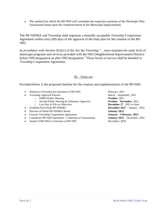• The method for which the RP-NID will contribute the respective portions of the Developer Plan Assessment funds upon the commencement of the Municipal Improvements.

The RP-NIDMA and Township shall negotiate a mutually acceptable Township Cooperation Agreement within sixty (60) days of the approval of the final plan for the creation of the RP-NID.

In accordance with Section  $5(c)(iv)$  of the Act the Township "... must maintain the same level of municipal programs and services provided with the NID (Neighborhood Improvement District) before NID designation as after NID designation." These levels of service shall be detailed in Township Cooperation Agreement.

## XI – TIMELINE

Provided below is the proposed timeline for the creation and implementation of the RP-NID:

- Petition to Township for formation of RP-NID February, 2021
- Township Approval Process March September, 2021
	- o HMID Public Hearing **October**, 2021
	- o Second Public Hearing & Ordinance Approval **October November**, 2021
	- o Last Day to File an Objection **December 27** , 2021 or later
- Establish Non-Profit RP-NIDMA **December 2021** January , 2022
- Election of Initial RP-NIDMA Board **January 2022**
- Execute Township Cooperation Agreement **January – February, 2022**
- Commence RP-NID Operations / Collection of Assessments **January 2022** December, 2032
- Sunset of RP-NID or extension of RP-NID December, 2032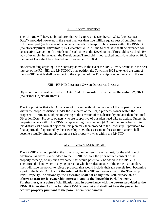## XII – SUNSET PROVISION

The RP-NID will have an initial term that will expire on December 31, 2032 (the "**Sunset Date**"), provided however, in the event that less than five million square feet of buildings are fully developed (certificates of occupancy issued) for for-profit businesses within the RP-NID (the "**Development Threshold**") by December 31, 2027, the Sunset Date shall be extended for consecutive twelve-month periods until such time as the Development Threshold is reached. By way of example, in the event the Development Threshold is not reached until November of 2028, the Sunset Date shall be extended until December 31, 2034.

Notwithstanding anything to the contrary above, in the event the RP-NIDMA deems it in the best interest of the RP-NID, the RP-NIDMA may petition the Township BOS to extend the term of the RP-NID, which shall be subject to the approval of the Township in accordance with the Act.

#### XIII – RP-NID PROPERTY OWNER OBJECTION PROCESS

Objection Forms must be filed with City Clerk of Township. on or before **December 27, 2021** (the "**Final Objection Date**")

The Act provides that a NID plan cannot proceed without the consent of the property owners within the proposed district. Under the mandates of the Act, a property owner within the proposed RP-NID must object in writing to the creation of this district by no later than the Final Objection Date. Property owners who are supportive of this plan need take no action. Unless the property owners within the RP-NID representing forty percent (40%) of the properties within this district cast a formal objection, this plan may then proceed to the Township Supervisors for final approval. If approved by the Township BOS, the assessment fees set forth above shall become a legally binding obligation of each property owner within the RP-NID.

#### XIV – LIMITATION**S** ON RP-NID

The RP-NID shall not petition the Township, nor consent to any request, for the addition of additional tax parcels to be added to the RP-NID without the prior written consent of the property owner(s) of any such tax parcel that would potentially be added to the RP-NID. Therefore, the landowner of any tax parcel(s) which resides outside of the RP-NID boundary lines will have the power to reject a proposal that would include their tax parcels from becoming a part of the RP-NID. **It is not the intent of the RP-NID to own or control the Township Park Property. Additionally, the Township shall not at any time, sell, dispose of, or otherwise transfer its ownership interest in and to the Township Park Property. Furthermore, as a point of clarification and in accordance with the powers provided to the RP-NID in Section 7 of the Act, the RP-NID does not and shall not have the power to acquire property pursuant to the power of eminent domain.**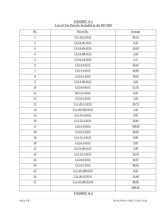| <u>No.</u>       | Parcel No.           | Acreage |
|------------------|----------------------|---------|
| $\perp$          | C11-26-2-0131        | 96.23   |
| $\overline{2}$   | C12-6-4C-0131        | 9.10    |
| $\overline{3}$   | C12-6-4A-0131        | 10.03   |
| $\overline{4}$   | C12-6-4B-0131        | 3.58    |
| $\overline{5}$   | C12-6-1A-0131        | 1.17    |
| $6\overline{6}$  | $C12-6-8-0131$       | 60.62   |
| $\overline{1}$   | C12-3-5-0131         | 20.00   |
| $8\overline{8}$  | $C12-6-1-0131$       | 78.43   |
| $\overline{9}$   | C12-6-4E-0131        | 2.69    |
| 10               | $C12-6-4-0131$       | 23.35   |
| 11               | D11-6-3-0131         | 0.43    |
| <u>12</u>        | $C12-6-2-0131$       | 1.03    |
| <u>13</u>        | C11-26-11-0131       | 18.75   |
| 14               | C11-26-10A-0131      | 2.43    |
| 15               | C11-31-4-0131        | 3.85    |
| $\underline{16}$ | C11-31-5-0131        | 26.81   |
| 17               | $C12 - 3 - 4 - 0131$ | 108.50  |
| <u>18</u>        | $C12 - 6 - 5 - 0131$ | 46.63   |
| <u>19</u>        | C11-31-3-0131        | 9.00    |
| 20               | $C12 - 6 - 3 - 0131$ | 3.85    |
| 21               | C12-6-4D-0131        | 1.09    |
| 22               | C11-31-1-0131        | 59.70   |
| 23               | $C12-6-6-0131$       | 16.67   |
| $\underline{24}$ | $C12-6-7-0131$       | 90.04   |
| 25               | C11-26-10B-0131      | 0.92    |
| $\frac{26}{5}$   | C11-26-12-0131       | 23.40   |
| 27               | C11-26-2B-0131E      | 90.06   |
|                  |                      | 808.36  |
|                  |                      |         |

| EXHIBIT A-1                                |  |
|--------------------------------------------|--|
| List of Tax Parcels Included in the RP-NID |  |

## EXHIBIT A-2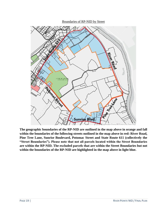#### Boundaries of RP-NID by Street



**The geographic boundaries of the RP-NID are outlined in the map above in orange and fall within the boundaries of the following streets outlined in the map above in red: River Road, Pine Tree Lane, Sunrise Boulevard, Potomac Street and State Route 611 (collectively the "Street Boundaries"). Please note that not all parcels located within the Street Boundaries are within the RP-NID. The excluded parcels that are within the Street Boundaries but not within the boundaries of the RP-NID are highlighted in the map above in light blue.**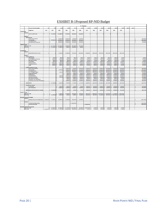# EXHIBIT B-1Proposed RP-NID Budget

|                          | <b>RP - NID Budget</b>   |                                                                       |            |                      |                                                                                        |                          |                                        |                          |                        |                                            |                          |                               |                            |                |        |        |                        |
|--------------------------|--------------------------|-----------------------------------------------------------------------|------------|----------------------|----------------------------------------------------------------------------------------|--------------------------|----------------------------------------|--------------------------|------------------------|--------------------------------------------|--------------------------|-------------------------------|----------------------------|----------------|--------|--------|------------------------|
|                          |                          | <b>Percent of Project Complete</b>                                    | o%         | 7.0%                 | 31.0%                                                                                  | 59.0%                    | 76.1%                                  | 94.4%                    | 100.0%                 | 100.0%                                     | 100.0                    | 100.0%                        | 100.0%                     | 100.0          | 100.0% | 100.0% |                        |
|                          |                          | <b>Budget Year</b>                                                    | 2021       | 2022                 | 2023                                                                                   | 2024                     | 2025                                   | 2026                     | 2027                   | 2028                                       | 2029                     | 2030                          | 2031                       | 2032           |        |        |                        |
| <b>Capital Budget</b>    |                          |                                                                       |            |                      |                                                                                        |                          |                                        |                          |                        |                                            |                          |                               |                            |                |        |        |                        |
|                          | INCOME                   |                                                                       |            |                      |                                                                                        |                          |                                        |                          |                        |                                            |                          |                               |                            |                |        |        |                        |
|                          |                          | Permit Fee (\$0.75 psr)                                               | $\sim$     | \$3, 871, 725.00     | 1,785,825.00                                                                           | 768,750.00               | 825,000.00                             | 251,250.00               |                        |                                            |                          |                               |                            |                |        |        |                        |
|                          | <b>EXPENSE</b>           |                                                                       |            |                      |                                                                                        |                          |                                        |                          |                        |                                            |                          |                               |                            |                |        |        |                        |
|                          |                          | <b>Capital Expenses</b>                                               |            |                      |                                                                                        |                          |                                        |                          |                        |                                            |                          |                               |                            |                |        |        |                        |
|                          |                          |                                                                       |            | ÷                    | 150,000.00                                                                             | 250,000.00               | 50,000.00                              | 50,000.00                |                        |                                            |                          |                               |                            |                |        |        | 500,000.00<br>٠        |
|                          |                          | Police/ Security Service                                              |            |                      |                                                                                        |                          | ×                                      |                          |                        |                                            |                          |                               |                            |                |        |        | Ś                      |
|                          |                          | Fire Life Suffey                                                      |            |                      | \$ 300,000.00 \$ 1,200,000.00                                                          | 350,000.00<br>250,000.00 | 350,000.00<br>$\epsilon$               | 300,000.00<br>100,000.00 |                        |                                            |                          |                               |                            |                |        |        | 2,500,000.00           |
|                          |                          | <b>Ambulance Service:</b>                                             |            | <b>A</b>             | 300,000.00                                                                             |                          | 100,000.00                             |                          |                        |                                            |                          |                               |                            |                |        |        | s<br>750,000.00        |
|                          |                          | <b>Road Maintenance Equipment</b>                                     |            | <b>S</b>             | 300,000.00                                                                             | 250,000.00               | 100,000.00<br><b>S</b>                 | 100,000.00               |                        |                                            |                          |                               |                            |                |        |        | 750,000.00<br>s        |
|                          |                          |                                                                       |            |                      |                                                                                        |                          |                                        |                          |                        |                                            |                          |                               |                            |                |        |        |                        |
| <b>Capital Cash Flow</b> |                          |                                                                       |            |                      |                                                                                        |                          |                                        |                          |                        |                                            |                          |                               |                            |                |        |        |                        |
|                          | <b>Beginning of Year</b> |                                                                       |            |                      | \$ 871,725.00 \$ 2,357,550.00                                                          | \$1,176,300.00           | $\sim$<br>901,300.00                   | 552,550.00               |                        |                                            |                          |                               |                            |                |        |        |                        |
|                          | <b>End of Year</b>       |                                                                       | $\sim$     | \$ 571,725.00 \$     | 407,550.00 \$                                                                          | 76,300.00 S              | 301,300.00                             | 2,550.00                 |                        |                                            |                          |                               |                            |                |        |        |                        |
|                          |                          |                                                                       |            |                      |                                                                                        |                          |                                        |                          |                        |                                            |                          |                               |                            |                |        |        |                        |
|                          |                          |                                                                       |            |                      |                                                                                        |                          |                                        |                          |                        |                                            |                          |                               |                            |                |        |        |                        |
| <b>Annual Budget</b>     |                          |                                                                       |            |                      |                                                                                        |                          |                                        |                          |                        |                                            |                          |                               |                            |                |        |        |                        |
|                          | <b>INCOME</b>            |                                                                       |            |                      |                                                                                        |                          |                                        |                          |                        |                                            |                          |                               |                            |                |        |        |                        |
|                          |                          | Annual Fee Income (\$0.13 psf)                                        |            |                      | 63,000.00                                                                              | 279,345.00               | 531,510.00                             | 685,260.00               | 850,260.00             | 900,310.00                                 | 900,310.00               | 900,510.00                    | 900,510.00                 | 900,510.00     |        |        |                        |
|                          |                          |                                                                       |            |                      |                                                                                        |                          |                                        |                          |                        |                                            |                          |                               |                            |                |        |        |                        |
|                          | <b>EXPENSE</b>           |                                                                       |            |                      |                                                                                        |                          |                                        |                          |                        |                                            |                          |                               |                            |                |        |        |                        |
|                          |                          |                                                                       |            |                      |                                                                                        |                          |                                        |                          |                        |                                            |                          |                               |                            |                |        |        |                        |
|                          |                          | Funds to Operate NID                                                  |            | ×,                   |                                                                                        |                          |                                        |                          |                        |                                            |                          |                               |                            |                |        |        | ×,                     |
|                          |                          | <b>Office Supplies</b>                                                |            | 750.00               | 750.00                                                                                 | 750.00                   | 750.00                                 | 780.00                   | 780.00                 | 780.00                                     | 800.00                   | 800.00                        | 800.00                     | 820.00         |        |        | 8,560.00               |
|                          |                          | <b>Accounting and Audit services</b>                                  |            | 3.000.00<br><b>A</b> | 4,000.00                                                                               | 4.000.00                 | 4.100.00                               | 4.100.00                 | 4,200.00               | 4,200.00                                   | 4,300.00                 | 4,300.00                      | 4,400.00                   | 4,400.00       |        |        | 45,000.00<br><b>A</b>  |
|                          |                          | <b>Bank Service Charges</b>                                           |            | $\epsilon$<br>200.00 | 200.00                                                                                 | 200.00                   | 210.00                                 | 210.00                   | 215.00                 | 215.00                                     | 220.00                   | 220.00                        | 225.00                     | 225.00         |        |        | 2,340.00<br>١s         |
|                          |                          | <b>Fee Collection</b>                                                 |            | s.<br>500.00         | 750.00                                                                                 | 1,500.00                 | 2,000.00                               | 2,000.00                 | 2,100.00               | 2,100.00                                   | 2,200.00                 | 2,200.00                      | 2,200.00                   | 2,300.00       |        |        | ß<br>19,850.00         |
|                          |                          | Liability Insurance                                                   |            | s.<br>10,000.00      | 12,500.00                                                                              | 15,000.00                | 20,000.00                              | 20,500.00                | 21,000.00              | 21,500.00                                  | 22,000.00                | 22,500.00                     | 23,000.00                  | 23,500.00      |        |        | l e<br>211,500.00      |
|                          |                          | <b>Professional Services</b>                                          |            | 2,000.00             | 2.500.00                                                                               | 3.000.00                 | 5,000.00                               | 5.100.00                 | 5.200.00               | 5.300.00                                   | 5,400.00                 | 5.500.00                      | 5.600.00                   | 5.700.00       |        |        | 50,300.00<br>l.        |
|                          |                          | Legal                                                                 |            | 5,000.00<br>÷        | 5,000.00                                                                               | 5,100.00                 | 5,200.00                               | 5,300.00                 | 5,400.00               | 5,500.00                                   | 5,600.00                 | 5,700.00                      | 5,800.00                   | 5,900.00       |        |        | 59,500.00<br>ß         |
|                          |                          |                                                                       |            |                      |                                                                                        |                          |                                        |                          |                        |                                            |                          |                               |                            |                |        |        |                        |
|                          |                          | Funds to township for services                                        |            |                      |                                                                                        |                          |                                        |                          |                        |                                            |                          |                               |                            |                |        |        | ı.                     |
|                          |                          | Police/ Security Service                                              |            |                      |                                                                                        | 40,000.00                | 70,000.00                              | 110,000.00               | 110,000.00             | 110,000.00<br>s                            | \$110,000.00             | 110,000.00                    | 110,000.00                 | 110,000.00     |        |        | 880,000.00<br>ß        |
|                          |                          | <b>Fire Life Saftey</b>                                               |            |                      | 10,000.00                                                                              | 65,000.00                | ۱s<br>100,000.00                       | 125,000.00               | <b>s</b><br>150,000.00 | ۱s<br>150,000.00                           | s<br>150,000.00          | 150,000.00 \$                 | 150,000.00                 | 150,000.00     |        |        | ١s<br>1,200,000.00     |
|                          |                          | <b>Ambulance Services</b>                                             |            |                      |                                                                                        | 20,000.00                | 100,000.00<br>⊺€                       | 125,000.00               | 150,000.00 \$          | 150,000.00                                 | 150,000.00               | 150,000.00 \$                 | 150,000.00                 | 150,000.00     |        |        | Ιs<br>1,143,000.00     |
|                          |                          |                                                                       |            |                      |                                                                                        |                          |                                        |                          |                        |                                            |                          |                               |                            |                |        |        | ĸ                      |
|                          |                          | <b>EMS - Emergancy Mgmnt</b>                                          |            |                      | 6,000.00                                                                               | 45,000.00                | 75,000.00                              | 95,000.00                | 100,000.00             | 100,000.00                                 | 100,000.00               | 100,000.00                    | 100,000.00                 | 100,000.00     |        |        | 821,000.00             |
|                          |                          | <b>Street Lighting Electric</b>                                       |            |                      |                                                                                        | 1,000.00                 | 3,500.00                               | 4,500.00                 | 5,000.00               | 5,000.00                                   | 5,000.00                 | 5,000.00                      | 5,000.00                   | 5,000.00       |        |        | ١s<br>39,000.00        |
|                          |                          | <b>Street Cleaning</b>                                                |            |                      | in 1919.                                                                               | 3.000.00                 | 8,000.00                               | 13,000.00                | 13,000.00              | 15,000.00                                  | 15,000.00                | 15,000.00                     | 15,000.00                  | 13,000.00      |        |        | ١s<br>116,000.00       |
|                          |                          | <b>Road Maintenance</b>                                               |            |                      | 4,000.00                                                                               | 18,000.00                | 25,000.00                              | 35,000.00                | 35,000.00              | 35,000.00                                  | 35,000.00                | 33,000.00                     | 35,000.00                  | 35,000.00      |        |        | l s<br>292,000.00      |
|                          |                          | Snow and Ice removal                                                  |            |                      | 5,000.00                                                                               | 25,000.00                | 30,000.00                              | 45,000.00                | 45,000.00              | 45,000.00                                  | 45,000.00                | 45,000.00                     | 45,000.00                  | 45,000.00      |        |        | 375,000.00<br>×        |
|                          |                          | Storm Sewers and Drains                                               |            |                      | $\sim$                                                                                 | 2,000.00                 | 5,000.00                               | 5,000.00                 | 7,500.00               | 7,500.00                                   | 7,500.00                 | 7,500.00                      | 7,500.00                   | 7,500.00       |        |        | 57,000.00<br>s         |
|                          |                          | <b>Recreational Trail Maintenance</b>                                 |            |                      | $\sim$                                                                                 | 5,000.00                 | 15,000.00                              | 15,000.00                | 20,000.00              | 20,000.00                                  | 20,000.00                | 20,000.00                     | 20,000.00                  | 20,000.00      |        |        | 155,000.00<br>١s       |
|                          |                          | Philanthropy/ Community PR/ Donations                                 |            |                      |                                                                                        | 10,000.00                | 25,000.00                              | 25,000.00                | 30,000.00              | 30,000.00                                  | 30,000.00                | 30,000.00                     | 30,000.00                  | 30.000.00      |        |        | <b>A</b><br>240,000.00 |
|                          |                          |                                                                       |            |                      |                                                                                        |                          |                                        |                          |                        |                                            |                          |                               |                            |                |        |        |                        |
|                          |                          | <b>Capital Reserve</b>                                                |            | 5 [21, 430.00]       | 12,300.00                                                                              | 15,795.00                | 37,750.00                              | 47,770.00                | 143,865.00             | 193,415.00                                 | 192,490.00               | 191,790.00                    | 190,985.00<br>s            | 190,165.00     |        |        | 1,194,875.00<br>¢      |
|                          |                          |                                                                       |            |                      |                                                                                        |                          |                                        |                          |                        |                                            |                          |                               |                            |                |        |        |                        |
|                          |                          | <b>Township Park Expenses</b>                                         |            |                      |                                                                                        |                          |                                        |                          |                        |                                            |                          |                               |                            |                |        |        |                        |
|                          |                          | <b>Culture &amp; Rec</b>                                              |            |                      | 2,300.00                                                                               | 3,500.00                 | 5,000.00                               | 7,500.00                 | 20,000.00              | 20,000.00                                  | 20,000.00                | 20,000.00                     | 20,000.00                  | 20,000.00      |        |        | 138,300.00<br>s        |
|                          |                          | <b>Park Maintenance</b>                                               |            |                      | 10,000.00                                                                              | 12,000.00                | 30,000.00                              | 40,000.00                | 80,000.00              | 80,000.00                                  | 80,000.00                | 80,000.00                     | 80,000.00                  | 80,000.00      |        |        | 572,000.00<br>÷        |
|                          |                          |                                                                       |            |                      |                                                                                        |                          |                                        |                          |                        |                                            |                          |                               |                            |                |        |        |                        |
|                          |                          | Capital Reserve (after township Park included                         |            | 5[21,450.00]         |                                                                                        | 295.00                   | 2,750.00                               | 270.00                   | 43,865.00              | 93,415.00                                  | 92,490.00                | 91,790.00                     | 90,985.00                  | 90,165.00      |        |        | 484,575.00             |
|                          |                          |                                                                       |            |                      |                                                                                        |                          |                                        |                          |                        |                                            |                          |                               |                            |                |        |        |                        |
| <b>Annual Cash Flow</b>  |                          |                                                                       |            |                      |                                                                                        |                          |                                        |                          |                        |                                            |                          |                               |                            |                |        |        |                        |
|                          |                          |                                                                       |            |                      | 41.550.00                                                                              |                          |                                        |                          |                        |                                            |                          |                               |                            |                |        |        |                        |
|                          | <b>Beginning of Year</b> |                                                                       | $\sim$     |                      |                                                                                        | 270,195.00               | 538,155.00<br>Т¢.                      | 729,655.00               | ı.                     | 942,425.00 \$ 1,136,540.00 \$ 1,329,955.00 |                          | \$1,522,445.00 \$1,714,235.00 |                            | \$1,905,220.00 |        |        |                        |
|                          | <b>End of Year</b>       |                                                                       | $\epsilon$ | $-$ 5 (21,430.00)    | [9,150.00]                                                                             | 6,645.00                 | l s<br>44,395.00                       | 92,165.00 \$             | 236,030.00 \$          |                                            | 429,443.00 \$ 621,935.00 | s                             | 813,725.00 \$ 1,004,710.00 | \$1,194,875.00 |        |        |                        |
|                          |                          |                                                                       |            |                      |                                                                                        |                          |                                        |                          |                        |                                            |                          |                               |                            |                |        |        |                        |
|                          |                          | Municipal Improvements Budget                                         |            |                      |                                                                                        |                          |                                        |                          |                        |                                            |                          |                               |                            |                |        |        |                        |
|                          | <b>INCOME</b>            |                                                                       |            |                      |                                                                                        |                          |                                        |                          |                        |                                            |                          |                               |                            |                |        |        |                        |
|                          |                          | Developer Fee (\$.50 psf at approvals) \$ 210,000.00 \$ 721,150.00 \$ |            |                      | 840,550.00 \$                                                                          |                          | 512,500.00 \$ 550,000.00 \$ 167,500.00 |                          |                        |                                            |                          |                               |                            |                |        |        | 3,001,700.00           |
|                          |                          |                                                                       |            |                      |                                                                                        |                          |                                        |                          |                        |                                            |                          |                               |                            |                |        |        |                        |
|                          | <b>EXPENSE</b>           |                                                                       |            |                      |                                                                                        |                          |                                        |                          |                        |                                            |                          |                               |                            |                |        |        |                        |
|                          |                          | <b>Township Municipal Building</b>                                    |            |                      |                                                                                        |                          | \$2,000,000.00                         |                          |                        |                                            |                          |                               |                            |                |        |        | 2,000,000.00           |
|                          |                          | <b>Environmental Center</b>                                           |            |                      |                                                                                        |                          |                                        |                          | \$1,000,000.00         |                                            |                          |                               |                            |                |        |        | s<br>1,000,000.00      |
|                          |                          |                                                                       |            |                      |                                                                                        |                          |                                        |                          |                        |                                            |                          |                               |                            |                |        |        |                        |
|                          |                          | <b>Municipal Improvements Cash Flow</b>                               |            |                      |                                                                                        |                          |                                        |                          |                        |                                            |                          |                               |                            |                |        |        |                        |
|                          | <b>Beginning of Year</b> |                                                                       |            |                      | 0 \$210,000.00 \$931,150.00 \$1,771,700.00 \$2,284,200.00 \$834,200.00 \$1,001,700.00  |                          |                                        |                          |                        | 1,700.00<br>١s                             | 1,700.00                 | 1,700.00                      | 1,700.00                   | 1,700.00       |        |        |                        |
|                          | <b>End of Year</b>       |                                                                       |            |                      | \$210,000.00 \$931,130.00 \$1,771,700.00 \$2,284,200.00 \$834,200.00 \$1,001,700.00 \$ |                          |                                        |                          | 1,700.00 \$            | 1,700.00 \$                                | 1,700.00                 | 1,700.00 \$                   | 1,700.00                   | 1,700.00       |        |        |                        |
|                          |                          |                                                                       |            |                      |                                                                                        |                          |                                        |                          |                        |                                            |                          |                               |                            |                |        |        |                        |